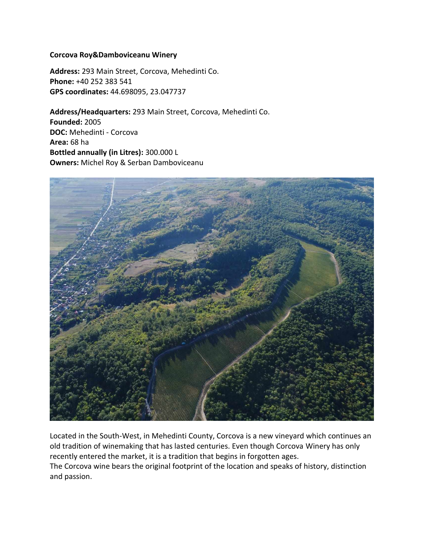## **Corcova Roy&Damboviceanu Winery**

**Address:** 293 Main Street, Corcova, Mehedinti Co. **Phone:** +40 252 383 541 **GPS coordinates:** 44.698095, 23.047737

**Address/Headquarters:** 293 Main Street, Corcova, Mehedinti Co. **Founded:** 2005 **DOC:** Mehedinti - Corcova **Area:** 68 ha **Bottled annually (in Litres):** 300.000 L **Owners:** Michel Roy & Serban Damboviceanu



Located in the South-West, in Mehedinti County, Corcova is a new vineyard which continues an old tradition of winemaking that has lasted centuries. Even though Corcova Winery has only recently entered the market, it is a tradition that begins in forgotten ages. The Corcova wine bears the original footprint of the location and speaks of history, distinction and passion.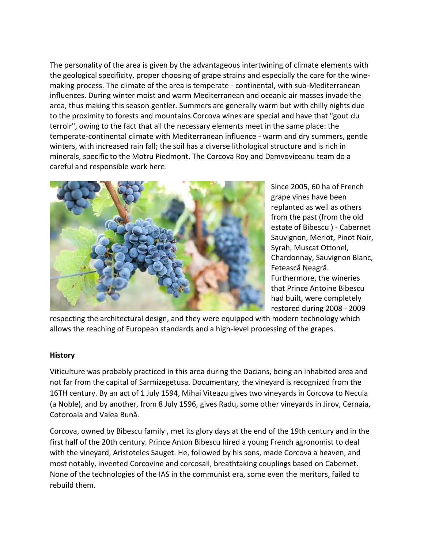The personality of the area is given by the advantageous intertwining of climate elements with the geological specificity, proper choosing of grape strains and especially the care for the winemaking process. The climate of the area is temperate - continental, with sub-Mediterranean influences. During winter moist and warm Mediterranean and oceanic air masses invade the area, thus making this season gentler. Summers are generally warm but with chilly nights due to the proximity to forests and mountains.Corcova wines are special and have that "gout du terroir", owing to the fact that all the necessary elements meet in the same place: the temperate-continental climate with Mediterranean influence - warm and dry summers, gentle winters, with increased rain fall; the soil has a diverse lithological structure and is rich in minerals, specific to the Motru Piedmont. The Corcova Roy and Damvoviceanu team do a careful and responsible work here.



Since 2005, 60 ha of French grape vines have been replanted as well as others from the past (from the old estate of Bibescu ) - Cabernet Sauvignon, Merlot, Pinot Noir, Syrah, Muscat Ottonel, Chardonnay, Sauvignon Blanc, Fetească Neagră. Furthermore, the wineries that Prince Antoine Bibescu had built, were completely restored during 2008 - 2009

respecting the architectural design, and they were equipped with modern technology which allows the reaching of European standards and a high-level processing of the grapes.

## **History**

Viticulture was probably practiced in this area during the Dacians, being an inhabited area and not far from the capital of Sarmizegetusa. Documentary, the vineyard is recognized from the 16TH century. By an act of 1 July 1594, Mihai Viteazu gives two vineyards in Corcova to Necula (a Noble), and by another, from 8 July 1596, gives Radu, some other vineyards in Jirov, Cernaia, Cotoroaia and Valea Bună.

Corcova, owned by Bibescu family , met its glory days at the end of the 19th century and in the first half of the 20th century. Prince Anton Bibescu hired a young French agronomist to deal with the vineyard, Aristoteles Sauget. He, followed by his sons, made Corcova a heaven, and most notably, invented Corcovine and corcosail, breathtaking couplings based on Cabernet. None of the technologies of the IAS in the communist era, some even the meritors, failed to rebuild them.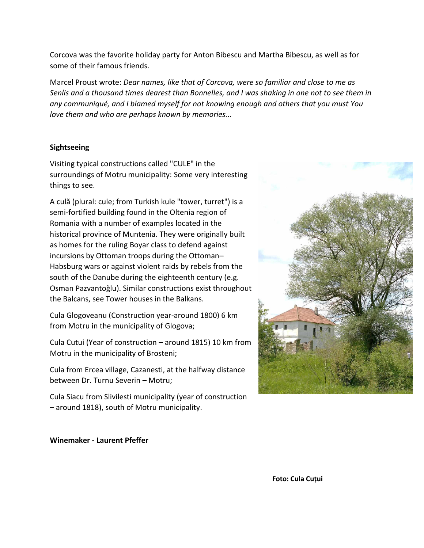Corcova was the favorite holiday party for Anton Bibescu and Martha Bibescu, as well as for some of their famous friends.

Marcel Proust wrote: *Dear names, like that of Corcova, were so familiar and close to me as* Senlis and a thousand times dearest than Bonnelles, and I was shaking in one not to see them in *any communiqué, and I blamed myself for not knowing enough and others that you must You love them and who are perhaps known by memories...*

## **Sightseeing**

Visiting typical constructions called "CULE" in the surroundings of Motru municipality: Some very interesting things to see.

A culă (plural: cule; from Turkish kule "tower, turret") is a semi-fortified building found in the Oltenia region of Romania with a number of examples located in the historical province of Muntenia. They were originally built as homes for the ruling Boyar class to defend against incursions by Ottoman troops during the Ottoman– Habsburg wars or against violent raids by rebels from the south of the Danube during the eighteenth century (e.g. Osman Pazvantoğlu). Similar constructions exist throughout the Balcans, see Tower houses in the Balkans.

Cula Glogoveanu (Construction year-around 1800) 6 km from Motru in the municipality of Glogova;

Cula Cutui (Year of construction – around 1815) 10 km from Motru in the municipality of Brosteni;

Cula from Ercea village, Cazanesti, at the halfway distance between Dr. Turnu Severin – Motru;

Cula Siacu from Slivilesti municipality (year of construction – around 1818), south of Motru municipality.



**Winemaker - Laurent Pfeffer**